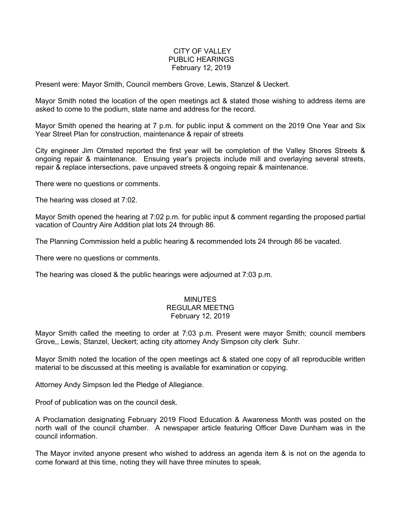## CITY OF VALLEY PUBLIC HEARINGS February 12, 2019

Present were: Mayor Smith, Council members Grove, Lewis, Stanzel & Ueckert.

Mayor Smith noted the location of the open meetings act & stated those wishing to address items are asked to come to the podium, state name and address for the record.

Mayor Smith opened the hearing at 7 p.m. for public input & comment on the 2019 One Year and Six Year Street Plan for construction, maintenance & repair of streets

City engineer Jim Olmsted reported the first year will be completion of the Valley Shores Streets & ongoing repair & maintenance. Ensuing year's projects include mill and overlaying several streets, repair & replace intersections, pave unpaved streets & ongoing repair & maintenance.

There were no questions or comments.

The hearing was closed at 7:02.

Mayor Smith opened the hearing at 7:02 p.m. for public input & comment regarding the proposed partial vacation of Country Aire Addition plat lots 24 through 86.

The Planning Commission held a public hearing & recommended lots 24 through 86 be vacated.

There were no questions or comments.

The hearing was closed & the public hearings were adjourned at 7:03 p.m.

## MINUTES REGULAR MEETNG February 12, 2019

Mayor Smith called the meeting to order at 7:03 p.m. Present were mayor Smith; council members Grove,, Lewis, Stanzel, Ueckert; acting city attorney Andy Simpson city clerk Suhr.

Mayor Smith noted the location of the open meetings act & stated one copy of all reproducible written material to be discussed at this meeting is available for examination or copying.

Attorney Andy Simpson led the Pledge of Allegiance.

Proof of publication was on the council desk.

A Proclamation designating February 2019 Flood Education & Awareness Month was posted on the north wall of the council chamber. A newspaper article featuring Officer Dave Dunham was in the council information.

The Mayor invited anyone present who wished to address an agenda item & is not on the agenda to come forward at this time, noting they will have three minutes to speak.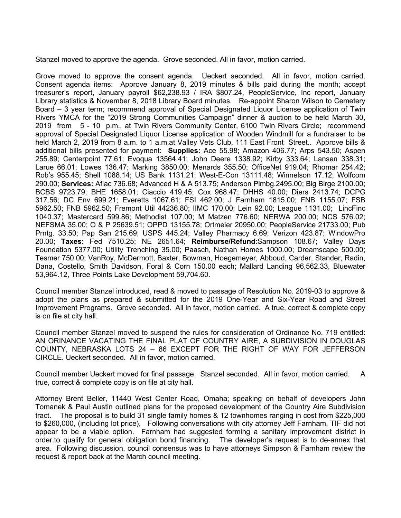Stanzel moved to approve the agenda. Grove seconded. All in favor, motion carried.

Grove moved to approve the consent agenda. Ueckert seconded. All in favor, motion carried. Consent agenda items: Approve January 8, 2019 minutes & bills paid during the month; accept treasurer's report, January payroll \$62,238.93 / IRA \$807.24, PeopleService, Inc report, January Library statistics & November 8, 2018 Library Board minutes. Re-appoint Sharon Wilson to Cemetery Board – 3 year term; recommend approval of Special Designated Liquor License application of Twin Rivers YMCA for the "2019 Strong Communities Campaign" dinner & auction to be held March 30, 2019 from 5 - 10 p.m., at Twin Rivers Community Center, 6100 Twin Rivers Circle; recommend approval of Special Designated Liquor License application of Wooden Windmill for a fundraiser to be held March 2, 2019 from 8 a.m. to 1 a.m. at Valley Vets Club, 111 East Front Street.. Approve bills & additional bills presented for payment: **Supplies:** Ace 55.98; Amazon 406.77; Arps 543.50; Aspen 255.89; Centerpoint 77.61; Evoqua 13564.41; John Deere 1338.92; Kirby 333.64; Lansen 338.31; Larue 66.01; Lowes 136.47; Marking 3850.00; Menards 355.50; OfficeNet 919.04; Rhomar 254.42; Rob's 955.45; Shell 1088.14; US Bank 1131.21; West-E-Con 13111.48; Winnelson 17.12; Wolfcom 290.00; **Services:** Aflac 736.68; Advanced H & A 513.75; Anderson Plmbg.2495.00; Big Birge 2100.00; BCBS 9723.79; BHE 1658.01; Ciaccio 419.45; Cox 968.47; DHHS 40.00; Diers 2413.74; DCPG 317.56; DC Env 699.21; Everetts 1067.61; FSI 462.00; J Farnham 1815.00; FNB 1155.07; FSB 5962.50; FNB 5962.50; Fremont Util 44236.80; IIMC 170.00; Lein 92.00; League 1131.00; LincFinc 1040.37; Mastercard 599.86; Methodist 107.00; M Matzen 776.60; NERWA 200.00; NCS 576.02; NEFSMA 35.00; O & P 25639.51; OPPD 13155.78; Ortmeier 20950.00; PeopleService 21733.00; Pub Prntg. 33.50; Pap San 215.69; USPS 445.24; Valley Pharmacy 6.69; Verizon 423.87; WindowPro 20.00; **Taxes:** Fed 7510.25; NE 2651.64; **Reimburse/Refund**:Sampson 108.67; Valley Days Foundation 5377.00; Utility Trenching 35.00; Paasch, Nathan Homes 1000.00; Dreamscape 500.00; Tesmer 750.00; VanRoy, McDermott, Baxter, Bowman, Hoegemeyer, Abboud, Carder, Stander, Radin, Dana, Costello, Smith Davidson, Foral & Corn 150.00 each; Mallard Landing 96,562.33, Bluewater 53,964.12, Three Points Lake Development 59,704.60.

Council member Stanzel introduced, read & moved to passage of Resolution No. 2019-03 to approve & adopt the plans as prepared & submitted for the 2019 One-Year and Six-Year Road and Street Improvement Programs. Grove seconded. All in favor, motion carried. A true, correct & complete copy is on file at city hall.

Council member Stanzel moved to suspend the rules for consideration of Ordinance No. 719 entitled: AN ORINANCE VACATING THE FINAL PLAT OF COUNTRY AIRE, A SUBDIVISION IN DOUGLAS COUNTY, NEBRASKA LOTS 24 – 86 EXCEPT FOR THE RIGHT OF WAY FOR JEFFERSON CIRCLE. Ueckert seconded. All in favor, motion carried.

Council member Ueckert moved for final passage. Stanzel seconded. All in favor, motion carried. A true, correct & complete copy is on file at city hall.

Attorney Brent Beller, 11440 West Center Road, Omaha; speaking on behalf of developers John Tomanek & Paul Austin outlined plans for the proposed development of the Country Aire Subdivision tract. The proposal is to build 31 single family homes & 12 townhomes ranging in cost from \$225,000 to \$260,000, (including lot price), Following conversations with city attorney Jeff Farnham, TIF did not appear to be a viable option. Farnham had suggested forming a sanitary improvement district in order.to qualify for general obligation bond financing. The developer's request is to de-annex that area. Following discussion, council consensus was to have attorneys Simpson & Farnham review the request & report back at the March council meeting.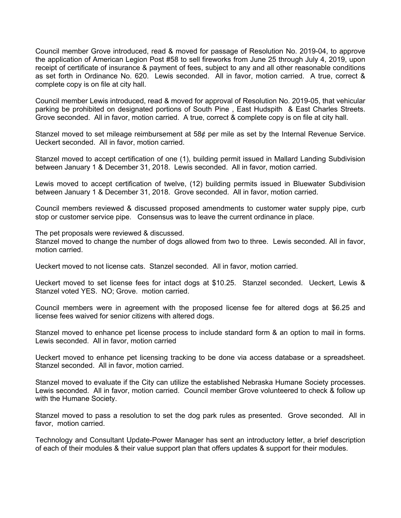Council member Grove introduced, read & moved for passage of Resolution No. 2019-04, to approve the application of American Legion Post #58 to sell fireworks from June 25 through July 4, 2019, upon receipt of certificate of insurance & payment of fees, subject to any and all other reasonable conditions as set forth in Ordinance No. 620. Lewis seconded. All in favor, motion carried. A true, correct & complete copy is on file at city hall.

Council member Lewis introduced, read & moved for approval of Resolution No. 2019-05, that vehicular parking be prohibited on designated portions of South Pine , East Hudspith & East Charles Streets. Grove seconded. All in favor, motion carried. A true, correct & complete copy is on file at city hall.

Stanzel moved to set mileage reimbursement at 58¢ per mile as set by the Internal Revenue Service. Ueckert seconded. All in favor, motion carried.

Stanzel moved to accept certification of one (1), building permit issued in Mallard Landing Subdivision between January 1 & December 31, 2018. Lewis seconded. All in favor, motion carried.

Lewis moved to accept certification of twelve, (12) building permits issued in Bluewater Subdivision between January 1 & December 31, 2018. Grove seconded. All in favor, motion carried.

Council members reviewed & discussed proposed amendments to customer water supply pipe, curb stop or customer service pipe. Consensus was to leave the current ordinance in place.

The pet proposals were reviewed & discussed.

Stanzel moved to change the number of dogs allowed from two to three. Lewis seconded. All in favor, motion carried.

Ueckert moved to not license cats. Stanzel seconded. All in favor, motion carried.

Ueckert moved to set license fees for intact dogs at \$10.25. Stanzel seconded. Ueckert, Lewis & Stanzel voted YES. NO; Grove. motion carried.

Council members were in agreement with the proposed license fee for altered dogs at \$6.25 and license fees waived for senior citizens with altered dogs.

Stanzel moved to enhance pet license process to include standard form & an option to mail in forms. Lewis seconded. All in favor, motion carried

Ueckert moved to enhance pet licensing tracking to be done via access database or a spreadsheet. Stanzel seconded. All in favor, motion carried.

Stanzel moved to evaluate if the City can utilize the established Nebraska Humane Society processes. Lewis seconded. All in favor, motion carried. Council member Grove volunteered to check & follow up with the Humane Society.

Stanzel moved to pass a resolution to set the dog park rules as presented. Grove seconded. All in favor, motion carried.

Technology and Consultant Update-Power Manager has sent an introductory letter, a brief description of each of their modules & their value support plan that offers updates & support for their modules.